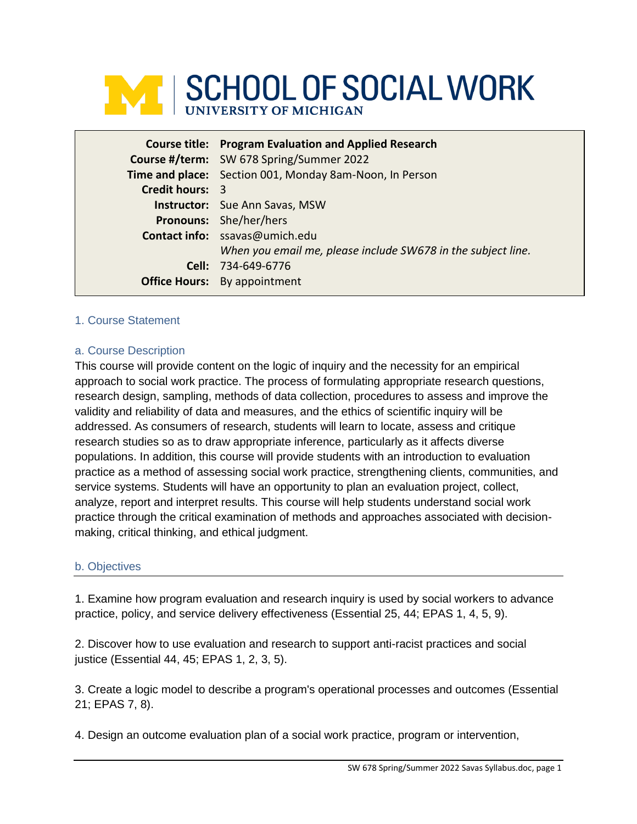

|                        | <b>Course title: Program Evaluation and Applied Research</b> |
|------------------------|--------------------------------------------------------------|
|                        | Course #/term: SW 678 Spring/Summer 2022                     |
|                        | Time and place: Section 001, Monday 8am-Noon, In Person      |
| <b>Credit hours: 3</b> |                                                              |
|                        | <b>Instructor:</b> Sue Ann Savas, MSW                        |
|                        | <b>Pronouns:</b> She/her/hers                                |
|                        | Contact info: ssavas@umich.edu                               |
|                        | When you email me, please include SW678 in the subject line. |
|                        | Cell: 734-649-6776                                           |
|                        | <b>Office Hours:</b> By appointment                          |

### 1. Course Statement

### a. Course Description

This course will provide content on the logic of inquiry and the necessity for an empirical approach to social work practice. The process of formulating appropriate research questions, research design, sampling, methods of data collection, procedures to assess and improve the validity and reliability of data and measures, and the ethics of scientific inquiry will be addressed. As consumers of research, students will learn to locate, assess and critique research studies so as to draw appropriate inference, particularly as it affects diverse populations. In addition, this course will provide students with an introduction to evaluation practice as a method of assessing social work practice, strengthening clients, communities, and service systems. Students will have an opportunity to plan an evaluation project, collect, analyze, report and interpret results. This course will help students understand social work practice through the critical examination of methods and approaches associated with decisionmaking, critical thinking, and ethical judgment.

### b. Objectives

1. Examine how program evaluation and research inquiry is used by social workers to advance practice, policy, and service delivery effectiveness (Essential 25, 44; EPAS 1, 4, 5, 9).

2. Discover how to use evaluation and research to support anti-racist practices and social justice (Essential 44, 45; EPAS 1, 2, 3, 5).

3. Create a logic model to describe a program's operational processes and outcomes (Essential 21; EPAS 7, 8).

4. Design an outcome evaluation plan of a social work practice, program or intervention,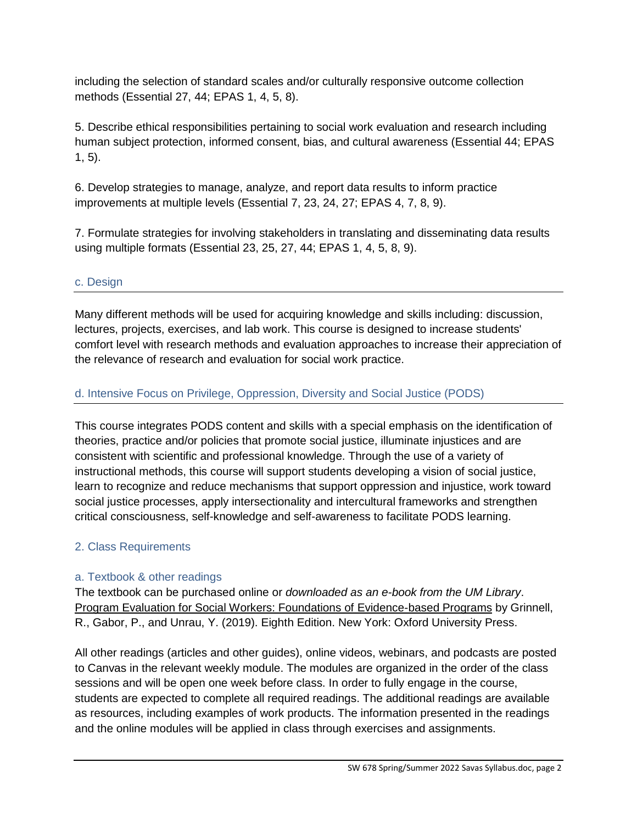including the selection of standard scales and/or culturally responsive outcome collection methods (Essential 27, 44; EPAS 1, 4, 5, 8).

5. Describe ethical responsibilities pertaining to social work evaluation and research including human subject protection, informed consent, bias, and cultural awareness (Essential 44; EPAS 1, 5).

6. Develop strategies to manage, analyze, and report data results to inform practice improvements at multiple levels (Essential 7, 23, 24, 27; EPAS 4, 7, 8, 9).

7. Formulate strategies for involving stakeholders in translating and disseminating data results using multiple formats (Essential 23, 25, 27, 44; EPAS 1, 4, 5, 8, 9).

## c. Design

Many different methods will be used for acquiring knowledge and skills including: discussion, lectures, projects, exercises, and lab work. This course is designed to increase students' comfort level with research methods and evaluation approaches to increase their appreciation of the relevance of research and evaluation for social work practice.

# d. Intensive Focus on Privilege, Oppression, Diversity and Social Justice (PODS)

This course integrates PODS content and skills with a special emphasis on the identification of theories, practice and/or policies that promote social justice, illuminate injustices and are consistent with scientific and professional knowledge. Through the use of a variety of instructional methods, this course will support students developing a vision of social justice, learn to recognize and reduce mechanisms that support oppression and injustice, work toward social justice processes, apply intersectionality and intercultural frameworks and strengthen critical consciousness, self-knowledge and self-awareness to facilitate PODS learning.

# 2. Class Requirements

## a. Textbook & other readings

The textbook can be purchased online or *downloaded as an e-book from the UM Library*. Program Evaluation for Social Workers: Foundations of Evidence-based Programs by Grinnell, R., Gabor, P., and Unrau, Y. (2019). Eighth Edition. New York: Oxford University Press.

All other readings (articles and other guides), online videos, webinars, and podcasts are posted to Canvas in the relevant weekly module. The modules are organized in the order of the class sessions and will be open one week before class. In order to fully engage in the course, students are expected to complete all required readings. The additional readings are available as resources, including examples of work products. The information presented in the readings and the online modules will be applied in class through exercises and assignments.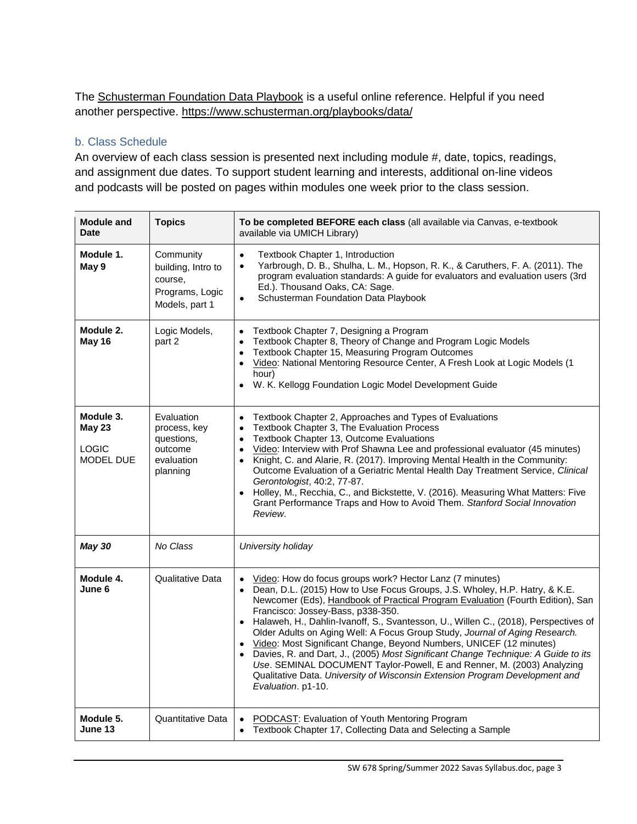The Schusterman Foundation Data Playbook is a useful online reference. Helpful if you need another perspective.<https://www.schusterman.org/playbooks/data/>

### b. Class Schedule

An overview of each class session is presented next including module #, date, topics, readings, and assignment due dates. To support student learning and interests, additional on-line videos and podcasts will be posted on pages within modules one week prior to the class session.

| <b>Module and</b><br><b>Date</b>                        | <b>Topics</b>                                                                   | To be completed BEFORE each class (all available via Canvas, e-textbook<br>available via UMICH Library)                                                                                                                                                                                                                                                                                                                                                                                                                                                                                                                                                                                                                                                                                  |  |  |  |
|---------------------------------------------------------|---------------------------------------------------------------------------------|------------------------------------------------------------------------------------------------------------------------------------------------------------------------------------------------------------------------------------------------------------------------------------------------------------------------------------------------------------------------------------------------------------------------------------------------------------------------------------------------------------------------------------------------------------------------------------------------------------------------------------------------------------------------------------------------------------------------------------------------------------------------------------------|--|--|--|
| Module 1.<br>May 9                                      | Community<br>building, Intro to<br>course,<br>Programs, Logic<br>Models, part 1 | Textbook Chapter 1, Introduction<br>$\bullet$<br>Yarbrough, D. B., Shulha, L. M., Hopson, R. K., & Caruthers, F. A. (2011). The<br>$\bullet$<br>program evaluation standards: A guide for evaluators and evaluation users (3rd<br>Ed.). Thousand Oaks, CA: Sage.<br>Schusterman Foundation Data Playbook<br>$\bullet$                                                                                                                                                                                                                                                                                                                                                                                                                                                                    |  |  |  |
| Module 2.<br>May 16                                     | Logic Models,<br>part 2                                                         | Textbook Chapter 7, Designing a Program<br>$\bullet$<br>Textbook Chapter 8, Theory of Change and Program Logic Models<br>$\bullet$<br>Textbook Chapter 15, Measuring Program Outcomes<br>$\bullet$<br>• Video: National Mentoring Resource Center, A Fresh Look at Logic Models (1<br>hour)<br>• W. K. Kellogg Foundation Logic Model Development Guide                                                                                                                                                                                                                                                                                                                                                                                                                                  |  |  |  |
| Module 3.<br><b>May 23</b><br><b>LOGIC</b><br>MODEL DUE | Evaluation<br>process, key<br>questions,<br>outcome<br>evaluation<br>planning   | Textbook Chapter 2, Approaches and Types of Evaluations<br>$\bullet$<br>Textbook Chapter 3, The Evaluation Process<br>$\bullet$<br>Textbook Chapter 13, Outcome Evaluations<br>$\bullet$<br>Video: Interview with Prof Shawna Lee and professional evaluator (45 minutes)<br>$\bullet$<br>• Knight, C. and Alarie, R. (2017). Improving Mental Health in the Community:<br>Outcome Evaluation of a Geriatric Mental Health Day Treatment Service, Clinical<br>Gerontologist, 40:2, 77-87.<br>• Holley, M., Recchia, C., and Bickstette, V. (2016). Measuring What Matters: Five<br>Grant Performance Traps and How to Avoid Them. Stanford Social Innovation<br>Review.                                                                                                                  |  |  |  |
| <b>May 30</b>                                           | No Class                                                                        | University holiday                                                                                                                                                                                                                                                                                                                                                                                                                                                                                                                                                                                                                                                                                                                                                                       |  |  |  |
| Module 4.<br>June 6                                     | Qualitative Data                                                                | • Video: How do focus groups work? Hector Lanz (7 minutes)<br>• Dean, D.L. (2015) How to Use Focus Groups, J.S. Wholey, H.P. Hatry, & K.E.<br>Newcomer (Eds), Handbook of Practical Program Evaluation (Fourth Edition), San<br>Francisco: Jossey-Bass, p338-350.<br>• Halaweh, H., Dahlin-Ivanoff, S., Svantesson, U., Willen C., (2018), Perspectives of<br>Older Adults on Aging Well: A Focus Group Study, Journal of Aging Research.<br>• Video: Most Significant Change, Beyond Numbers, UNICEF (12 minutes)<br>• Davies, R. and Dart, J., (2005) Most Significant Change Technique: A Guide to its<br>Use. SEMINAL DOCUMENT Taylor-Powell, E and Renner, M. (2003) Analyzing<br>Qualitative Data. University of Wisconsin Extension Program Development and<br>Evaluation. p1-10. |  |  |  |
| Module 5.<br>June 13                                    | Quantitative Data                                                               | • PODCAST: Evaluation of Youth Mentoring Program<br>Textbook Chapter 17, Collecting Data and Selecting a Sample                                                                                                                                                                                                                                                                                                                                                                                                                                                                                                                                                                                                                                                                          |  |  |  |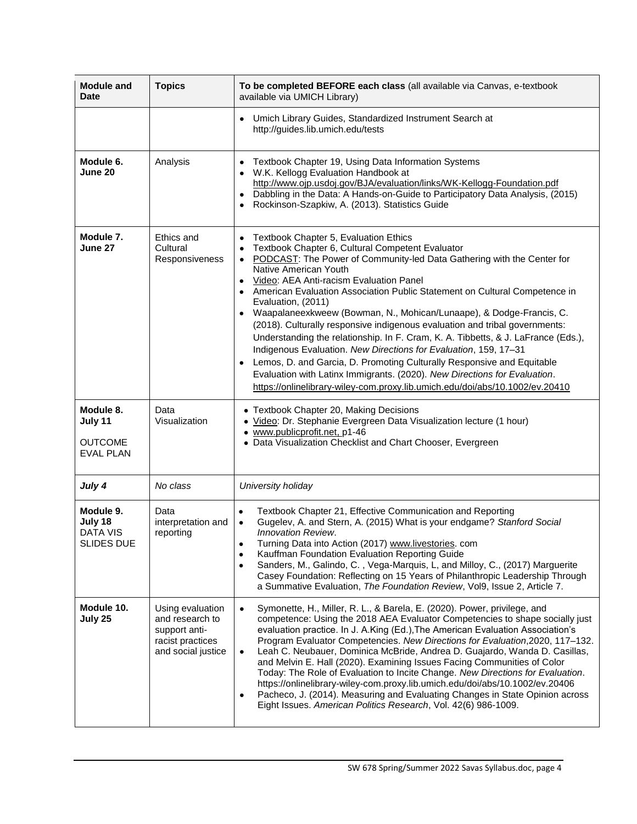| <b>Module and</b><br><b>Date</b>                           | <b>Topics</b>                                                                                  | To be completed BEFORE each class (all available via Canvas, e-textbook<br>available via UMICH Library)                                                                                                                                                                                                                                                                                                                                                                                                                                                                                                                                                                                                                                                                                                                                                                                                                   |  |  |  |  |
|------------------------------------------------------------|------------------------------------------------------------------------------------------------|---------------------------------------------------------------------------------------------------------------------------------------------------------------------------------------------------------------------------------------------------------------------------------------------------------------------------------------------------------------------------------------------------------------------------------------------------------------------------------------------------------------------------------------------------------------------------------------------------------------------------------------------------------------------------------------------------------------------------------------------------------------------------------------------------------------------------------------------------------------------------------------------------------------------------|--|--|--|--|
|                                                            |                                                                                                | Umich Library Guides, Standardized Instrument Search at<br>http://guides.lib.umich.edu/tests                                                                                                                                                                                                                                                                                                                                                                                                                                                                                                                                                                                                                                                                                                                                                                                                                              |  |  |  |  |
| Module 6.<br>June 20                                       | Analysis                                                                                       | Textbook Chapter 19, Using Data Information Systems<br>W.K. Kellogg Evaluation Handbook at<br>http://www.ojp.usdoj.gov/BJA/evaluation/links/WK-Kellogg-Foundation.pdf<br>Dabbling in the Data: A Hands-on-Guide to Participatory Data Analysis, (2015)<br>Rockinson-Szapkiw, A. (2013). Statistics Guide<br>$\bullet$                                                                                                                                                                                                                                                                                                                                                                                                                                                                                                                                                                                                     |  |  |  |  |
| Module 7.<br>June 27                                       | Ethics and<br>Cultural<br>Responsiveness                                                       | <b>Textbook Chapter 5, Evaluation Ethics</b><br>Textbook Chapter 6, Cultural Competent Evaluator<br>PODCAST: The Power of Community-led Data Gathering with the Center for<br>$\bullet$<br>Native American Youth<br>Video: AEA Anti-racism Evaluation Panel<br>• American Evaluation Association Public Statement on Cultural Competence in<br>Evaluation, (2011)<br>• Waapalaneexkweew (Bowman, N., Mohican/Lunaape), & Dodge-Francis, C.<br>(2018). Culturally responsive indigenous evaluation and tribal governments:<br>Understanding the relationship. In F. Cram, K. A. Tibbetts, & J. LaFrance (Eds.),<br>Indigenous Evaluation. New Directions for Evaluation, 159, 17-31<br>Lemos, D. and Garcia, D. Promoting Culturally Responsive and Equitable<br>Evaluation with Latinx Immigrants. (2020). New Directions for Evaluation.<br>https://onlinelibrary-wiley-com.proxy.lib.umich.edu/doi/abs/10.1002/ev.20410 |  |  |  |  |
| Module 8.<br>July 11<br><b>OUTCOME</b><br><b>EVAL PLAN</b> | Data<br>Visualization                                                                          | • Textbook Chapter 20, Making Decisions<br>· Video: Dr. Stephanie Evergreen Data Visualization lecture (1 hour)<br>• www.publicprofit.net, p1-46<br>• Data Visualization Checklist and Chart Chooser, Evergreen                                                                                                                                                                                                                                                                                                                                                                                                                                                                                                                                                                                                                                                                                                           |  |  |  |  |
| July 4                                                     | No class                                                                                       | University holiday                                                                                                                                                                                                                                                                                                                                                                                                                                                                                                                                                                                                                                                                                                                                                                                                                                                                                                        |  |  |  |  |
| Module 9.<br>July 18<br>DATA VIS<br><b>SLIDES DUE</b>      | Data<br>interpretation and<br>reporting                                                        | Textbook Chapter 21, Effective Communication and Reporting<br>$\bullet$<br>Gugelev, A. and Stern, A. (2015) What is your endgame? Stanford Social<br>$\bullet$<br><b>Innovation Review.</b><br>Turning Data into Action (2017) www.livestories. com<br>Kauffman Foundation Evaluation Reporting Guide<br>$\bullet$<br>Sanders, M., Galindo, C., Vega-Marquis, L, and Milloy, C., (2017) Marguerite<br>$\bullet$<br>Casey Foundation: Reflecting on 15 Years of Philanthropic Leadership Through<br>a Summative Evaluation, The Foundation Review, Vol9, Issue 2, Article 7.                                                                                                                                                                                                                                                                                                                                               |  |  |  |  |
| Module 10.<br>July 25                                      | Using evaluation<br>and research to<br>support anti-<br>racist practices<br>and social justice | Symonette, H., Miller, R. L., & Barela, E. (2020). Power, privilege, and<br>$\bullet$<br>competence: Using the 2018 AEA Evaluator Competencies to shape socially just<br>evaluation practice. In J. A.King (Ed.), The American Evaluation Association's<br>Program Evaluator Competencies. New Directions for Evaluation, 2020, 117-132.<br>Leah C. Neubauer, Dominica McBride, Andrea D. Guajardo, Wanda D. Casillas,<br>$\bullet$<br>and Melvin E. Hall (2020). Examining Issues Facing Communities of Color<br>Today: The Role of Evaluation to Incite Change. New Directions for Evaluation.<br>https://onlinelibrary-wiley-com.proxy.lib.umich.edu/doi/abs/10.1002/ev.20406<br>Pacheco, J. (2014). Measuring and Evaluating Changes in State Opinion across<br>$\bullet$<br>Eight Issues. American Politics Research, Vol. 42(6) 986-1009.                                                                           |  |  |  |  |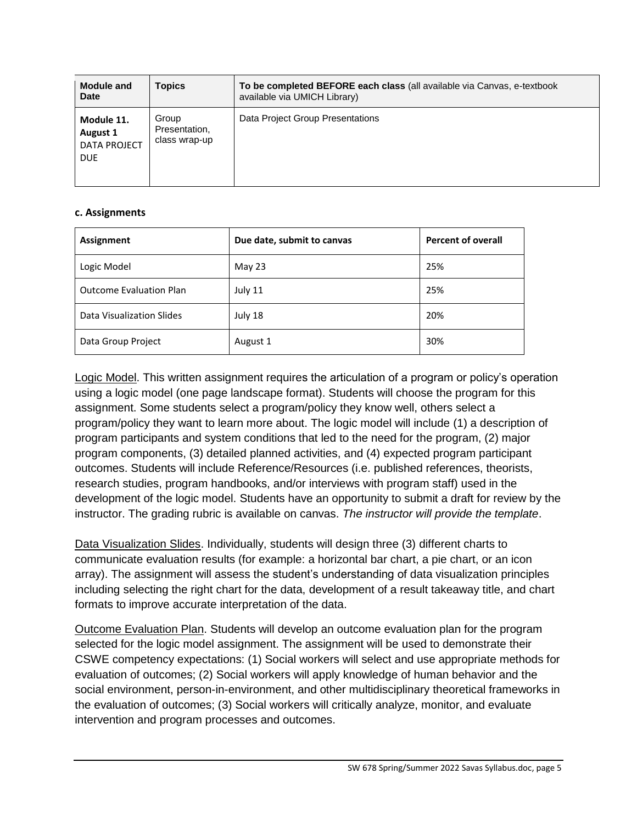| <b>Module and</b><br><b>Date</b>                            | <b>Topics</b>                           | To be completed BEFORE each class (all available via Canvas, e-textbook<br>available via UMICH Library) |
|-------------------------------------------------------------|-----------------------------------------|---------------------------------------------------------------------------------------------------------|
| Module 11.<br>August 1<br><b>DATA PROJECT</b><br><b>DUE</b> | Group<br>Presentation,<br>class wrap-up | Data Project Group Presentations                                                                        |

### **c. Assignments**

| Assignment                     | Due date, submit to canvas | <b>Percent of overall</b> |  |  |  |
|--------------------------------|----------------------------|---------------------------|--|--|--|
| Logic Model                    | May 23                     | 25%                       |  |  |  |
| <b>Outcome Evaluation Plan</b> | July 11                    | 25%                       |  |  |  |
| Data Visualization Slides      | July 18                    | 20%                       |  |  |  |
| Data Group Project             | August 1                   | 30%                       |  |  |  |

Logic Model. This written assignment requires the articulation of a program or policy's operation using a logic model (one page landscape format). Students will choose the program for this assignment. Some students select a program/policy they know well, others select a program/policy they want to learn more about. The logic model will include (1) a description of program participants and system conditions that led to the need for the program, (2) major program components, (3) detailed planned activities, and (4) expected program participant outcomes. Students will include Reference/Resources (i.e. published references, theorists, research studies, program handbooks, and/or interviews with program staff) used in the development of the logic model. Students have an opportunity to submit a draft for review by the instructor. The grading rubric is available on canvas. *The instructor will provide the template*.

Data Visualization Slides. Individually, students will design three (3) different charts to communicate evaluation results (for example: a horizontal bar chart, a pie chart, or an icon array). The assignment will assess the student's understanding of data visualization principles including selecting the right chart for the data, development of a result takeaway title, and chart formats to improve accurate interpretation of the data.

Outcome Evaluation Plan. Students will develop an outcome evaluation plan for the program selected for the logic model assignment. The assignment will be used to demonstrate their CSWE competency expectations: (1) Social workers will select and use appropriate methods for evaluation of outcomes; (2) Social workers will apply knowledge of human behavior and the social environment, person-in-environment, and other multidisciplinary theoretical frameworks in the evaluation of outcomes; (3) Social workers will critically analyze, monitor, and evaluate intervention and program processes and outcomes.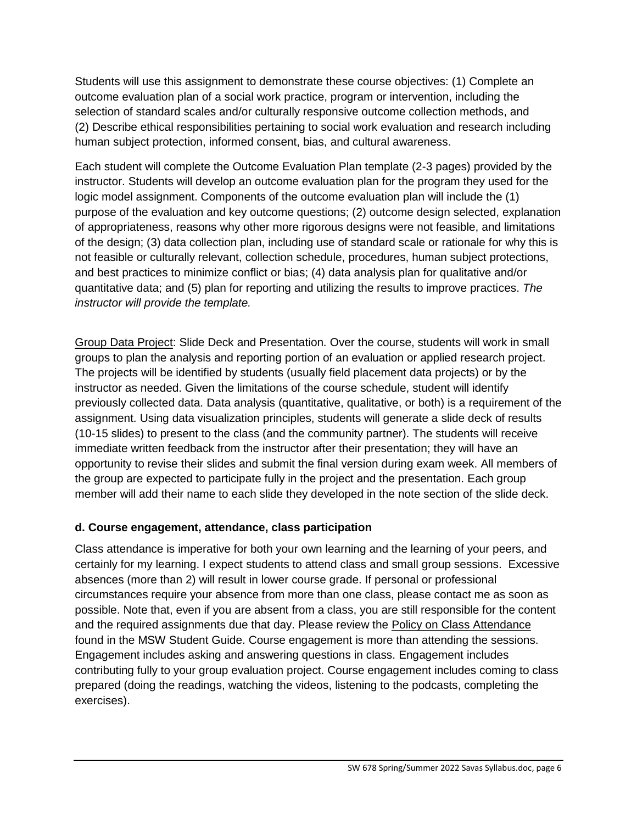Students will use this assignment to demonstrate these course objectives: (1) Complete an outcome evaluation plan of a social work practice, program or intervention, including the selection of standard scales and/or culturally responsive outcome collection methods, and (2) Describe ethical responsibilities pertaining to social work evaluation and research including human subject protection, informed consent, bias, and cultural awareness.

Each student will complete the Outcome Evaluation Plan template (2-3 pages) provided by the instructor. Students will develop an outcome evaluation plan for the program they used for the logic model assignment. Components of the outcome evaluation plan will include the (1) purpose of the evaluation and key outcome questions; (2) outcome design selected, explanation of appropriateness, reasons why other more rigorous designs were not feasible, and limitations of the design; (3) data collection plan, including use of standard scale or rationale for why this is not feasible or culturally relevant, collection schedule, procedures, human subject protections, and best practices to minimize conflict or bias; (4) data analysis plan for qualitative and/or quantitative data; and (5) plan for reporting and utilizing the results to improve practices. *The instructor will provide the template.*

Group Data Project: Slide Deck and Presentation. Over the course, students will work in small groups to plan the analysis and reporting portion of an evaluation or applied research project. The projects will be identified by students (usually field placement data projects) or by the instructor as needed. Given the limitations of the course schedule, student will identify previously collected data. Data analysis (quantitative, qualitative, or both) is a requirement of the assignment. Using data visualization principles, students will generate a slide deck of results (10-15 slides) to present to the class (and the community partner). The students will receive immediate written feedback from the instructor after their presentation; they will have an opportunity to revise their slides and submit the final version during exam week. All members of the group are expected to participate fully in the project and the presentation. Each group member will add their name to each slide they developed in the note section of the slide deck.

## **d. Course engagement, attendance, class participation**

Class attendance is imperative for both your own learning and the learning of your peers, and certainly for my learning. I expect students to attend class and small group sessions. Excessive absences (more than 2) will result in lower course grade. If personal or professional circumstances require your absence from more than one class, please contact me as soon as possible. Note that, even if you are absent from a class, you are still responsible for the content and the required assignments due that day. Please review the [Policy on Class Attendance](https://ssw.umich.edu/msw-student-guide/section/1.09.00/17/policy-on-class-attendance) found in the MSW Student Guide. Course engagement is more than attending the sessions. Engagement includes asking and answering questions in class. Engagement includes contributing fully to your group evaluation project. Course engagement includes coming to class prepared (doing the readings, watching the videos, listening to the podcasts, completing the exercises).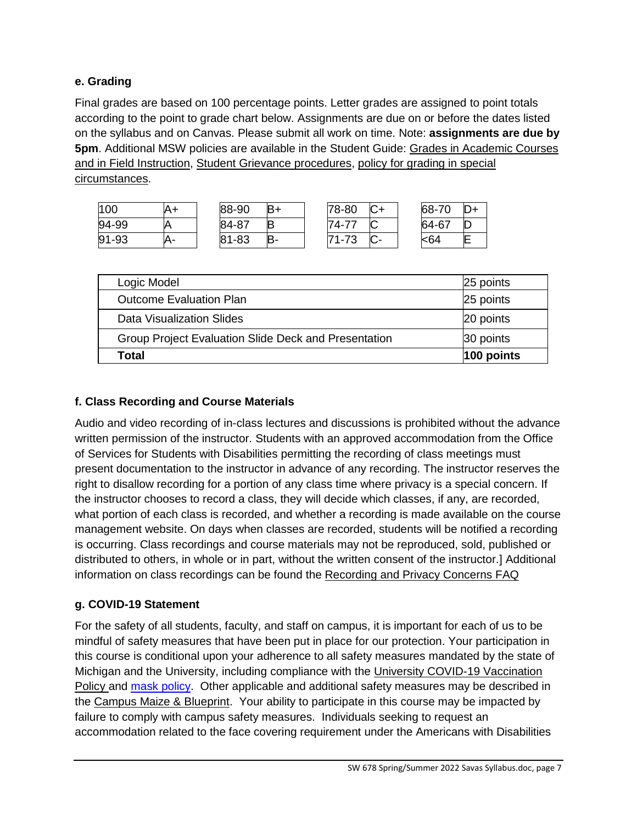## **e. Grading**

Final grades are based on 100 percentage points. Letter grades are assigned to point totals according to the point to grade chart below. Assignments are due on or before the dates listed on the syllabus and on Canvas. Please submit all work on time. Note: **assignments are due by 5pm**. Additional MSW policies are available in the Student Guide: [Grades in Academic Courses](http://ssw.umich.edu/msw-student-guide/chapter/1.08/grades-in-academic-courses-and-in-field-instruction)  [and in Field Instruction,](http://ssw.umich.edu/msw-student-guide/chapter/1.08/grades-in-academic-courses-and-in-field-instruction) [Student Grievance procedures,](http://ssw.umich.edu/msw-student-guide/chapter/1.18/student-grievances) [policy for grading in special](https://ssw.umich.edu/msw-student-guide/section/1.08.01/15/grades-for-special-circumstances)  [circumstances.](https://ssw.umich.edu/msw-student-guide/section/1.08.01/15/grades-for-special-circumstances)

| 100       | A+ | 88-90     | $B+$ | 78-80   | r | 68-70 |  |
|-----------|----|-----------|------|---------|---|-------|--|
| 94-99     |    | 84-87     | IB   | 74-77   | J | 64-67 |  |
| $91 - 93$ | Α- | $81 - 83$ |      | $71-73$ |   | -64   |  |

| Logic Model                                          | 25 points     |
|------------------------------------------------------|---------------|
| <b>Outcome Evaluation Plan</b>                       | 25 points     |
| Data Visualization Slides                            | 20 points     |
| Group Project Evaluation Slide Deck and Presentation | 30 points     |
| Total                                                | $ 100$ points |

# **f. Class Recording and Course Materials**

Audio and video recording of in-class lectures and discussions is prohibited without the advance written permission of the instructor. Students with an approved accommodation from the Office of Services for Students with Disabilities permitting the recording of class meetings must present documentation to the instructor in advance of any recording. The instructor reserves the right to disallow recording for a portion of any class time where privacy is a special concern. If the instructor chooses to record a class, they will decide which classes, if any, are recorded, what portion of each class is recorded, and whether a recording is made available on the course management website. On days when classes are recorded, students will be notified a recording is occurring. Class recordings and course materials may not be reproduced, sold, published or distributed to others, in whole or in part, without the written consent of the instructor.] Additional information on class recordings can be found the [Recording and Privacy Concerns FAQ](https://safecomputing.umich.edu/be-aware/privacy/privacy-u-m/videoconferencing/recording-privacy-concerns-faq)

## **g. COVID-19 Statement**

For the safety of all students, faculty, and staff on campus, it is important for each of us to be mindful of safety measures that have been put in place for our protection. Your participation in this course is conditional upon your adherence to all safety measures mandated by the state of Michigan and the University, including compliance with the [University COVID-19 Vaccination](https://ehs.umich.edu/wp-content/uploads/2021/07/COVID-19_Vaccination_Policy.pdf)  [Policy](https://ehs.umich.edu/wp-content/uploads/2021/07/COVID-19_Vaccination_Policy.pdf) and [mask policy.](https://ehs.umich.edu/wp-content/uploads/2020/07/U-M-Face-Covering-Policy-for-COVID-19.pdf) Other applicable and additional safety measures may be described in the [Campus Maize & Blueprint.](https://campusblueprint.umich.edu/students) Your ability to participate in this course may be impacted by failure to comply with campus safety measures. Individuals seeking to request an accommodation related to the face covering requirement under the Americans with Disabilities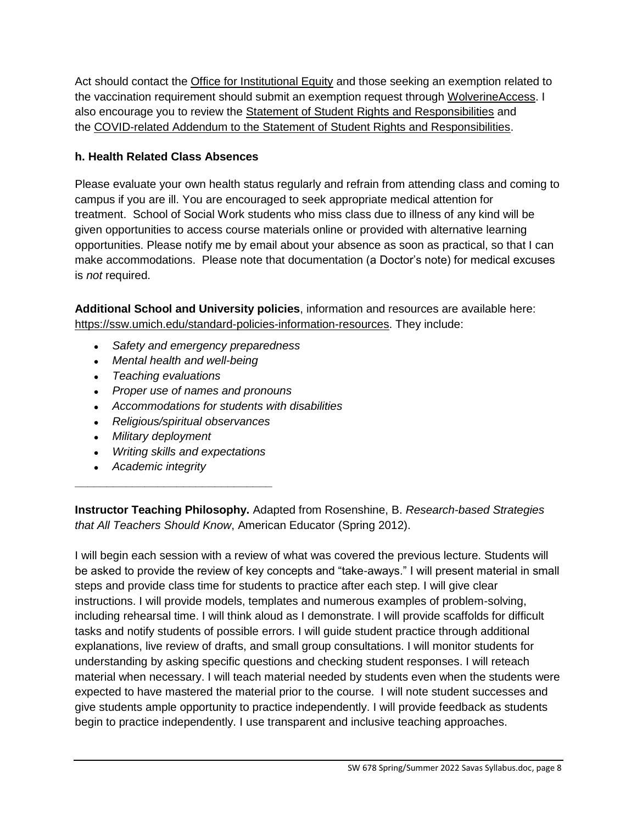Act should contact the [Office for Institutional Equity](https://oie.umich.edu/american-with-disabilities-act-ada/) and those seeking an exemption related to the vaccination requirement should submit an exemption request through [WolverineAccess.](https://wolverineaccess.umich.edu/collection/all/covid-19) I also encourage you to review the [Statement of Student Rights and Responsibilities](https://oscr.umich.edu/statement#1) and the [COVID-related Addendum to the Statement of Student Rights and Responsibilities.](https://oscr.umich.edu/sites/oscr.umich.edu/files/2020_statement_addendum_final_approved.pdf)

# **h. Health Related Class Absences**

Please evaluate your own health status regularly and refrain from attending class and coming to campus if you are ill. You are encouraged to seek appropriate medical attention for treatment. School of Social Work students who miss class due to illness of any kind will be given opportunities to access course materials online or provided with alternative learning opportunities. Please notify me by email about your absence as soon as practical, so that I can make accommodations. Please note that documentation (a Doctor's note) for medical excuses is *not* required.

**Additional School and University policies**, information and resources are available here: [https://ssw.umich.edu/standard-policies-information-resources.](https://ssw.umich.edu/standard-policies-information-resources) They include:

- *Safety and emergency preparedness*
- *Mental health and well-being*
- *Teaching evaluations*
- *Proper use of names and pronouns*
- *Accommodations for students with disabilities*
- *Religious/spiritual observances*
- *Military deployment*
- *Writing skills and expectations*

**\_\_\_\_\_\_\_\_\_\_\_\_\_\_\_\_\_\_\_\_\_\_\_\_\_\_\_\_\_\_\_**

● *Academic integrity*

**Instructor Teaching Philosophy.** Adapted from Rosenshine, B. *Research-based Strategies that All Teachers Should Know*, American Educator (Spring 2012).

I will begin each session with a review of what was covered the previous lecture. Students will be asked to provide the review of key concepts and "take-aways." I will present material in small steps and provide class time for students to practice after each step. I will give clear instructions. I will provide models, templates and numerous examples of problem-solving, including rehearsal time. I will think aloud as I demonstrate. I will provide scaffolds for difficult tasks and notify students of possible errors. I will guide student practice through additional explanations, live review of drafts, and small group consultations. I will monitor students for understanding by asking specific questions and checking student responses. I will reteach material when necessary. I will teach material needed by students even when the students were expected to have mastered the material prior to the course. I will note student successes and give students ample opportunity to practice independently. I will provide feedback as students begin to practice independently. I use transparent and inclusive teaching approaches.